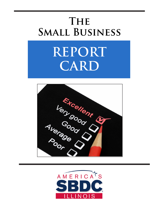# **The Small Business**

# **REPORT CARD**



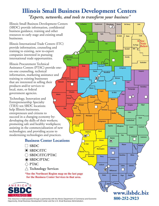# **Illinois Small Business Development Centers**

*"Experts, networks, and tools to transform your business"*

Illinois Small Business Development Centers (SBDC) provide information, confidential business guidance, training and other resources to early stage and existing small businesses.

Illinois International Trade Centers (ITC) provide information, counseling and training to existing, new to-export companies interested in pursuing international trade opportunities.

Illinois Procurement Technical Assistance Centers (PTAC) provide oneon-one counseling, technical information, marketing assistance and training to existing businesses that are interested in selling their products and/or services to local, state, or federal government agencies. **Adams**

Technology, Innovation and Entrepreneurship Specialty (TIES) ten SBDC locations help Illinois businesses, entrepreneurs and citizens to succeed in a changing economy by: developing the skills of their workers; promoting safe and healthy workplaces; assisting in the commercialization of new technologies; and providing access to modernizing technologies and practices.



- **SBDC SBDC/ITC**  $\bigcirc$  **SBDC/ITC/PTAC**  $\odot$  SBDC/PTAC **PTAC**
- **Technology Services**

**\*See the Northeast Region map on the last page**<br> **For the Business Center Services in that area for Business Center Services in that area. for the Business Center Services in that area.**



This resource is made possible through a partnership with the Illinois Department of Commerce and Economic **800-252-2923** Opportunity, Small Business Development Center and the U.S. Small Business Administration.



**Jo Daviess Stephenson Winnebago Boone Mc Henry Lake**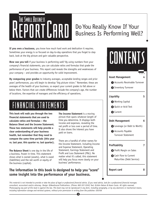# **REPORTCARD**

# Do You Really Know If Your Business Is Performing Well?

**If you own a business,** you know how much hard work and dedication it requires. Sometimes your energy is so focused on day-to-day operations that you forget to step back, look at the big picture and gain valuable perspective.

**How can you tell** if your business is performing well? By using numbers from your company's financial statements, you can calculate ratios and formulas that grade the performance of your business. This report card reveals the strengths and weaknesses of your company – and provides an opportunity for solid improvement.

**By comparing your grades** to industry averages, acceptable lending ranges and prior years' performances, you will begin to develop "big picture vision." Remember, these are averages of the health of your business, so expect your current grades to fall above or below them. Factors that can create differences include the company's age, the number of locations, the expertise of managers and the efficiency of operations.

# FINANCIAL STATEMENTS

**This book will walk you through the two financial statements that are used to calculate ratios and formulas – the Balance Sheet and the Income Statement. These two statements will help provide a clear understanding of your business health, but remember that they need to compare the same time periods (this year vs. last year, this quarter vs. last quarter).**

**The Balance Sheet** is one day in the life of a business, frozen in time. This statement shows what is owned (assets), what is owed (liabilities) and the net worth or equity of the business (capital).

**The Income Statement** is a moving picture that spans whatever length of time you determine. It displays both income and expenses, revealing the net profit or loss over a period of time. It also shows the interest you have paid on loans.

There are a handful of other names for the Income Statement, including Income and Expense Statement, Operating Statement, Earnings Statement and Profit and Loss Statement (P&L). No matter what it's called, this statement will help you focus more clearly on your business' performance.

### **The information in this book is designed to help you "score" some insight into the performance of your business.**



This material is not intended to provide or take the place of legal or professional financial advice. If you need advice, look for a professional financial manager, consultant, accountant and/or attorney. Design: @NewGround Publications. (Phone: 800 207-3550) Text: @John Nelson & Karen Couto. All rights reserved. Photocopying any part of this book is against the law. This book may not be reproduced in any form, including xerography, or by any electronic or mechanical means, *including information storage and retrieval systems, without prior permission in writing from the publisher. 030706*

❸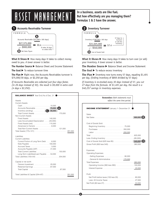# **But how effectively** are you managing them?<br> **But** how effectively are you managing them?<br>
Formulas 1 & 2 have the answer.



**What It Shows**  $\blacktriangleright$  How many days it takes to collect money owed to you. *A lower answer is better.*

**The Number Source ▶ Balance Sheet and Income Statement** 

**The Goal** ► To reduce turnover time

**The Plan ►** Right now, the Accounts Receivables turnover is \$75,000/30 days, or \$2,250 per day.

*If Accounts Receivable are collected just four days faster, (in 26 days instead of 30), the result is \$9,000 in extra cash (4 days x \$2,250).*

**In a business, assets are like fuel.**





What It Shows  $\triangleright$  How many days it takes to turn over (or sell) your inventory. *A lower answer is better.*

**The Number Source** Balance Sheet and Income Statement

**The Goal** ► To reduce excess inventory

**The Plan ►** Inventory now turns every 57 days, equaling \$1,491 per day. (Ending inventory of \$85K divided by 57 days)

*If inventory is re-stocked every 30 days instead of 57, you cut 27 days from the formula. At \$1,491 per day, the result is a \$40,257 savings in inventory expenses.*

| <b>BALANCE SHEET</b> Year End / As of Dec. 31 |                                                |
|-----------------------------------------------|------------------------------------------------|
|                                               | <b>Remember:</b> Both statements must          |
| Assets                                        | reflect the same time period.                  |
| <b>Current Assets:</b>                        |                                                |
|                                               |                                                |
| Accounts Receivable 75,000                    | <b>INCOME STATEMENT</b> January 1- December 31 |
|                                               |                                                |
|                                               | <b>Sales</b>                                   |
| Non-Current Assets                            | $.900,000$ $3$                                 |
|                                               |                                                |
| Less Accumulated Depreciation  (25,000)       |                                                |
| Fixed Assets (net) 115,000                    | Cost of Goods Sold:                            |
| Advances to Owners 6.000                      | Beginning Inventory 75,000                     |
|                                               |                                                |
| $\frac{291,000}{2}$                           |                                                |
|                                               |                                                |
| Liabilities                                   |                                                |
| <b>Current Liabilities</b>                    |                                                |
| Current Portion of Long-Term Debt 6,000       |                                                |
| Note Payable 100,000                          |                                                |
|                                               |                                                |
| Accounts Payable (A/P) 41,000                 | <b>Expenses</b>                                |
|                                               |                                                |
| Long-Term Liabilities/Loan Payable 54,000     | Operating Expenses:                            |
|                                               | - Selling Expenses 90,000                      |
|                                               | - General & Administrative 170,000             |
| Capital or net worth                          |                                                |
| Owners Investment 20,000                      | Operating Income (360 less 260) 100,000        |
| Retained Earnings 67,000                      |                                                |
| Total Capital 87,000                          |                                                |
|                                               | Profit                                         |
|                                               | Net Profit before taxes (100 less 20) 80,000   |
|                                               |                                                |
|                                               |                                                |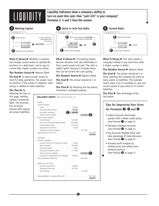# LIQUIDITY

**Liquidity indicators show a company's ability to turn an asset into cash. How "cash rich" is your company? Formulas 3, 4 and 5 have the answer.**



Subtract Current Liabilities

**What It Shows** Whether a company has enough current assets to operate the business on a daily basis, and to pay its current bills. *Higher numbers are better.*

Inventory

**The Number Source** Balance Sheet

**The Goal** ▶ To keep enough money on hand for daily operations. The answer must be positive. If the answer is negative, more money is needed to meet expenses.

### **The Plan ▶ By**

following the tips on this page, working capital is preserved. Note: This business has an excess amount after paying all current liabilities.



**What It Shows** If inventory should become obsolete, this ratio eliminates it from current assets and cash. The ratio is called "quick" because it includes items that can be turned into cash quickly.

**The Number Source** Balance Sheet

**The Goal** ► The answer should be 1 or higher.

**The Plan** ► By following the tips below, inventory is managed properly.

| <b>BALANCE SHEET</b> Year End / As of Dec. 31                                                                                                                                                                  |         |
|----------------------------------------------------------------------------------------------------------------------------------------------------------------------------------------------------------------|---------|
| Assets<br>Current Assets:<br>Accounts Receivable 75,000<br>Inventory (ending) $\ldots \ldots \ldots$ [c] 85,000<br>Non-Current Assets<br>Less Accumulated Depreciation  (25,000)<br>Fixed Assets (net) 115,000 |         |
| Advances to Owners 6.000<br>Total Assets (170+121)                                                                                                                                                             | 291,000 |
| Liabilities<br><b>Current Liabilities</b><br>Current Portion of Long-Term Debt 6,000<br>Accounts Payable $(A/P)$ 41,000<br>Long-Term Liabilities/Loan Payable  54,000                                          |         |
| Capital or net worth<br>Owners Investment 20.000<br>Retained Earnings 67,000                                                                                                                                   |         |
|                                                                                                                                                                                                                | 291.000 |



**What It Shows**  $\triangleright$  This ratio reveals a company's ability to pay short-term debt. *A higher number is better.*

**The Number Source** Balance Sheet

**The Goal** ► The answer should be 2 or more, meaning the company has twice as many assets as liabilities. This example means there is \$1.13 available in cash and current assets to pay every \$1 of current liabilities.

**The Plan ▶** Take advantage of the tips below.

### **Tips for Improving Your Score for Formulas**  $\Theta$ ,  $\Theta$  and  $\Theta$

- Collect Accounts Receivable quicker with a better credit policy (see Formula  $\bullet$  on page 4)
- Decrease inventory turnover (see Formula  $\bullet$  on page 4)
- Pay Accounts Payable faster and take advantage of trade discounts (see Formula  $\bullet$  on page 6)
- Increase profit margins by raising prices and selling more products/services (see Formula  $\bullet$  on page 7)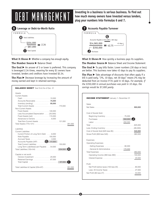**Investing in a business is serious business. To find out how** much money owners have invested versus lenders,<br> **DEBT MANAGEMENT plug** your numbers into Formulas 6 and 7.





**What It Shows** Whether a company has enough equity.

**The Number Source** Balance Sheet

**The Goal** ▶ An answer of 3 or lower is preferred. This company is leveraged 2.34 times, meaning for every \$1 owners have invested, lenders and creditors have invested \$2.34.

**The Plan ►** Decrease leverage by increasing the amount of money earned and kept in retained earnings.

| Assets<br>Current Assets:<br>Accounts Receivable 75,000<br>Inventory (ending) $\ldots \ldots \ldots \ldots$ 85,000<br>Non-Current Assets<br>Less Accumulated Depreciation  (25,000)<br>Fixed Assets (net) 115,000<br>Advances to Owners 6.000<br>Total Assets (170+121)<br>291.000<br>Liabilities<br><b>Current Liabilities</b><br>Current Portion of Long-Term Debt 6,000 | <b>BALANCE SHEET</b> Year End / As of Dec. 31 |  |
|----------------------------------------------------------------------------------------------------------------------------------------------------------------------------------------------------------------------------------------------------------------------------------------------------------------------------------------------------------------------------|-----------------------------------------------|--|
|                                                                                                                                                                                                                                                                                                                                                                            |                                               |  |
|                                                                                                                                                                                                                                                                                                                                                                            |                                               |  |
| Accounts Payable (A/P) $\ldots \ldots$ (a) 41,000<br>Long-Term Liabilities/Loan Payable 54,000                                                                                                                                                                                                                                                                             |                                               |  |
| Capital or net worth<br>Owners Investment 20.000<br>Retained Earnings 67,000                                                                                                                                                                                                                                                                                               |                                               |  |



6



**What It Shows ►** How quickly a business pays its suppliers.

**The Number Source** Balance Sheet and Income Statement

The Goal ▶ To pay bills faster. Lower numbers (30 days or less) are better. This business now takes 43 days to pay its suppliers.

**The Plan ►** Take advantage of discounts that often apply if a bill is paid early. "2%, 10 days, net 30 days" means 2% may be deducted from an invoice if it's paid in 10 days. *For example, if the \$350,000 in annual purchases was paid in 10 days, the savings would be \$7,000 yearly.*

| <b>INCOME STATEMENT</b> January 1- December 31                                                                                 |
|--------------------------------------------------------------------------------------------------------------------------------|
| Sales                                                                                                                          |
| Cost of Goods Sold:<br>Beginning Inventory 75,000<br>Cost of Goods Sold (625 less 85)  540,000                                 |
| <b>Expenses</b><br><b>Operating Expenses:</b><br>- General & Administrative 170,000<br>Operating Income (360 less 260) 100,000 |
| Profit<br>Net Profit before taxes (100 less 20) 80,000                                                                         |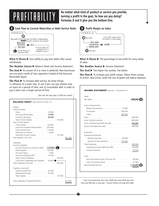**No matter what kind of product or service you provide, turning <sup>a</sup> profit is the goal. So how are you doing?** PROF **Formulas <sup>8</sup> and <sup>9</sup> give you the bottom line.** ITABILITY





**What It Shows ▶ Your ability to pay term debts after owner** withdrawals.

**The Number Source ►** Balance Sheet and Income Statement

**The Goal** ► An answer of 2 or more is preferred. New businesses use one year's worth of loan payments instead of the Accounts Receivable figure.

**The Plan ►** To increase debt service, do three things:

1) refinance at a lower rate, 2) ask if you can pay interest only on loans for a period of time, and 3) consolidate debt in order to pay it back over a longer period of time.

*Due over the next year or \$500 per month*

| <b>BALANCE SHEET</b> Year End / As of Dec. 31                                                                                                                                                                                                        |  |
|------------------------------------------------------------------------------------------------------------------------------------------------------------------------------------------------------------------------------------------------------|--|
| Assets<br><b>Current Assets:</b><br>Accounts Receivable 75,000<br>Inventory (ending) $\ldots \ldots \ldots \ldots$ 85,000<br>Non-Current Assets<br>Less Accumulated Depreciation  (25,000)<br>Fixed Assets (net) 115,000<br>Advances to Owners 6,000 |  |
| 291,000                                                                                                                                                                                                                                              |  |
| Liabilities<br><b>Current Liabilities</b><br>Current Portion of Long-Term Debt 6,000<br>Accounts Payable (A/P) 41,000<br>Long-Term Liabilities/Loan Payable 54,000                                                                                   |  |
| Capital or net worth<br>Owners Investment 20,000<br>Retained Earnings 67,000                                                                                                                                                                         |  |
| Total Liabilities & Capital (204+87)<br>291,000                                                                                                                                                                                                      |  |



### **Profit Margin on Sales**



**What It Shows ▶** The percentage of net profit for every dollar of sales.

**The Number Source** Income Statement

**The Goal** ► The higher the number, the better.

**The Plan**  $\triangleright$  To increase your profit margin, follow three courses of action: raise prices, lower the cost of goods and reduce expenses.

| <b>INCOME STATEMENT</b> January 1- December 31 |
|------------------------------------------------|
| Sales                                          |
|                                                |
| Cost of Goods Sold:                            |
|                                                |
| Purchases 350,000                              |
|                                                |
|                                                |
|                                                |
| Cost of Goods Sold (625 less 85)  540,000      |
|                                                |
| Expenses                                       |
| <b>Operating Expenses:</b>                     |
|                                                |
| - General & Administrative 170,000             |
|                                                |
| Operating Income (360 less 260) 100,000        |
|                                                |
| Profit                                         |
| Net Profit before taxes (100 less 20) 80,000   |
| Less: All Income Taxes 27,000                  |
|                                                |
|                                                |

*Loan to be paid back over time. \$60K loan with \$54K due over time and \$6K due in one year - Current Portion of Long-Term debt*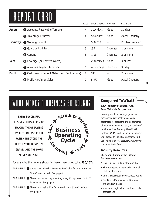# REPORT CARD

|               |                                                         | PAGE | <b>BOOK ANSWER COMMENT</b> |                 | <b>STANDARD</b> |
|---------------|---------------------------------------------------------|------|----------------------------|-----------------|-----------------|
| <b>Assets</b> | Accounts Receivable Turnover                            | 4    | $30.4$ days                | Good            | 30 days         |
|               | <b>2</b> Inventory Turnover                             | 4    | 57.4 turns                 | Good            | Match Industry  |
| Liquidity     | <b>8</b> Working Capital                                | 5    | \$20,000                   | Good            | Positive Number |
|               | <b>4</b> Quick or Acid Test                             | 5    | .56                        | <b>Increase</b> | 1 or more       |
|               | <b>6</b> Current                                        | 5    | 1.13                       | Increase        | 2 or more       |
| <b>Debt</b>   | <b>6</b> Leverage (or Debt-to-Worth)                    | 6    | 2.34 times                 | Good            | 3 or less       |
|               | <b>Accounts Payable Turnover</b>                        | 6    | 42.75 days                 | Decrease        | 30 days         |
| <b>Profit</b> | <b>8</b> Cash Flow to Current Maturities (Debt Service) | 7    | \$11                       | Good            | 2 or more       |
|               | Profit Margin on Sales<br>Ø                             | 7    | 5.9%                       | Good            | Match Industry  |
|               |                                                         |      |                            |                 |                 |

# WHAT MAKES A BUSINESS GO ROUND?

**EVERY SUCCESSFUL BUSINESS PUTS A SPIN ON MAKING THE OPERATING CYCLE TURN FASTER. THE FASTER THE CYCLE, THE BETTER YOUR BUSINESS' GRADES AND THE MORE MONEY YOU SAVE.**



For example, the savings shown in these three ratios **total \$56,257:**

- FORMULA  $\bullet$  shows how collecting Accounts Receivable faster can produce \$9,000 in extra cash. See page 4.
- F O R M U L A <sup>2</sup> Shows how restocking inventory every 30 days saves \$40,257 in expenses. See page 4.
- F O R M U L A  $\bullet$  Shows how paying bills faster results in a \$7,000 savings. See page 6.

### **Compared ToWhat?**

### **How Industry Standards Can Lend Valuable Perspective**

Knowing what the average grades are for your industry really gives you a barometer for assessing the performance of your own company. Use your business' North American Industry Classification System (NAICS) code number to compare your grades to industry standards. Find your number at *www.sba.gov/businessop/ standards/naics.html*

### **Industry Resources**

### **Check your library or the Internet for these resources:**

- Small Business Administration/SBA
- Risk Management Association Annual Statement Studies
- Dun & Bradstreet's Key Business Ratios
- Prentice Hall's Almanac of Business and Industry Ratios
- Your local, regional and national trade associations